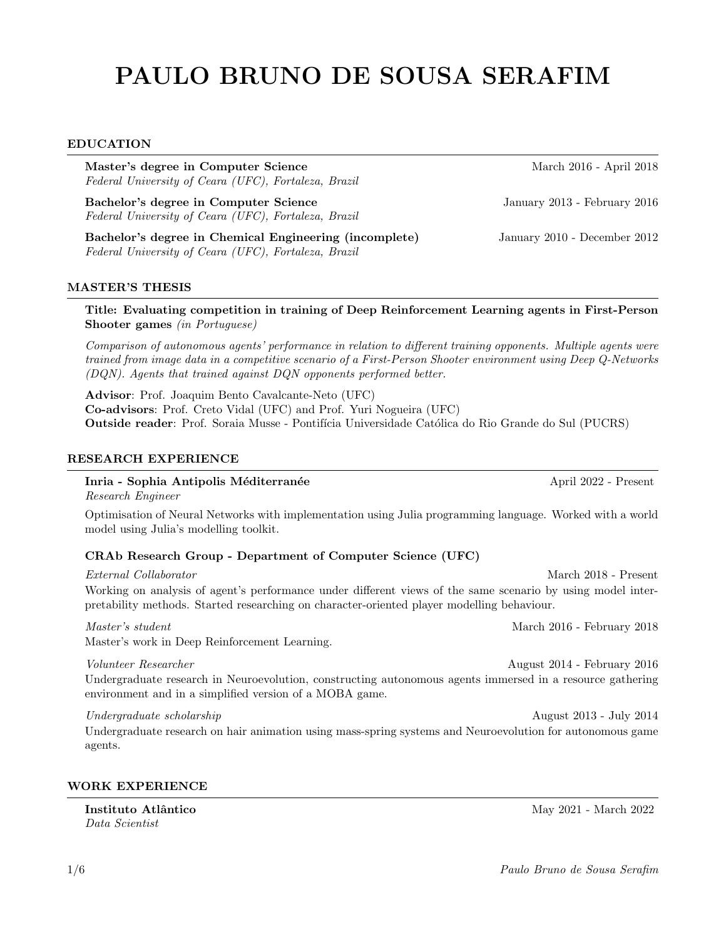# PAULO BRUNO DE SOUSA SERAFIM

#### EDUCATION

Master's degree in Computer Science March 2016 - April 2018 Federal University of Ceara (UFC), Fortaleza, Brazil

Bachelor's degree in Computer Science January 2013 - February 2016 Federal University of Ceara (UFC), Fortaleza, Brazil

Bachelor's degree in Chemical Engineering (incomplete) January 2010 - December 2012 Federal University of Ceara (UFC), Fortaleza, Brazil

#### MASTER'S THESIS

Title: Evaluating competition in training of Deep Reinforcement Learning agents in First-Person Shooter games (in Portuguese)

Comparison of autonomous agents' performance in relation to different training opponents. Multiple agents were trained from image data in a competitive scenario of a First-Person Shooter environment using Deep Q-Networks (DQN). Agents that trained against DQN opponents performed better.

Advisor: Prof. Joaquim Bento Cavalcante-Neto (UFC) Co-advisors: Prof. Creto Vidal (UFC) and Prof. Yuri Nogueira (UFC) Outside reader: Prof. Soraia Musse - Pontifícia Universidade Católica do Rio Grande do Sul (PUCRS)

#### RESEARCH EXPERIENCE

#### Inria - Sophia Antipolis Méditerranée **April 2022** - Present

Master's work in Deep Reinforcement Learning.

Research Engineer

Optimisation of Neural Networks with implementation using Julia programming language. Worked with a world model using Julia's modelling toolkit.

#### CRAb Research Group - Department of Computer Science (UFC)

External Collaborator March 2018 - Present Working on analysis of agent's performance under different views of the same scenario by using model interpretability methods. Started researching on character-oriented player modelling behaviour.

Master's student March 2016 - February 2018

Volunteer Researcher August 2014 - February 2016

Undergraduate research in Neuroevolution, constructing autonomous agents immersed in a resource gathering environment and in a simplified version of a MOBA game.

#### Undergraduate scholarship  $\frac{1}{2013}$  - July 2014

Undergraduate research on hair animation using mass-spring systems and Neuroevolution for autonomous game agents.

#### WORK EXPERIENCE

Data Scientist

Instituto Atlântico de Architectura e a march 2022 - March 2022 - March 2022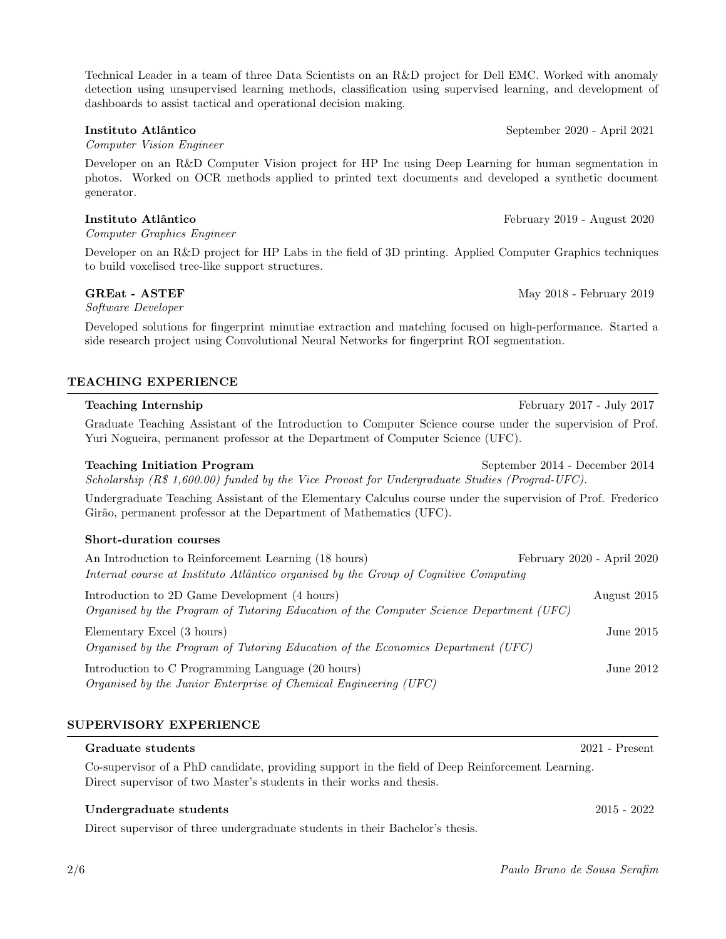Technical Leader in a team of three Data Scientists on an R&D project for Dell EMC. Worked with anomaly detection using unsupervised learning methods, classification using supervised learning, and development of dashboards to assist tactical and operational decision making.

#### Instituto Atlântico September 2020 - April 2021

Computer Vision Engineer

Developer on an R&D Computer Vision project for HP Inc using Deep Learning for human segmentation in photos. Worked on OCR methods applied to printed text documents and developed a synthetic document generator.

#### Instituto Atlântico February 2019 - August 2020

Computer Graphics Engineer

Developer on an R&D project for HP Labs in the field of 3D printing. Applied Computer Graphics techniques to build voxelised tree-like support structures.

Software Developer

Developed solutions for fingerprint minutiae extraction and matching focused on high-performance. Started a side research project using Convolutional Neural Networks for fingerprint ROI segmentation.

### TEACHING EXPERIENCE

Graduate Teaching Assistant of the Introduction to Computer Science course under the supervision of Prof. Yuri Nogueira, permanent professor at the Department of Computer Science (UFC).

Teaching Initiation Program September 2014 - December 2014 Scholarship (R\$ 1,600.00) funded by the Vice Provost for Undergraduate Studies (Prograd-UFC).

Undergraduate Teaching Assistant of the Elementary Calculus course under the supervision of Prof. Frederico Girão, permanent professor at the Department of Mathematics (UFC).

#### Short-duration courses

| An Introduction to Reinforcement Learning (18 hours)                                                                                     | February 2020 - April 2020 |
|------------------------------------------------------------------------------------------------------------------------------------------|----------------------------|
| Internal course at Instituto Atlântico organised by the Group of Cognitive Computing                                                     |                            |
| Introduction to 2D Game Development (4 hours)<br>Organised by the Program of Tutoring Education of the Computer Science Department (UFC) | August 2015                |
| Elementary Excel (3 hours)<br>Organised by the Program of Tutoring Education of the Economics Department (UFC)                           | June $2015$                |
|                                                                                                                                          |                            |

Introduction to C Programming Language (20 hours) June 2012 Organised by the Junior Enterprise of Chemical Engineering (UFC)

### SUPERVISORY EXPERIENCE

# Co-supervisor of a PhD candidate, providing support in the field of Deep Reinforcement Learning. Direct supervisor of two Master's students in their works and thesis.

Undergraduate students 2015 - 2022

Direct supervisor of three undergraduate students in their Bachelor's thesis.

GREat - ASTEF May 2018 - February 2019

Teaching Internship February 2017 - July 2017

Graduate students 2021 - Present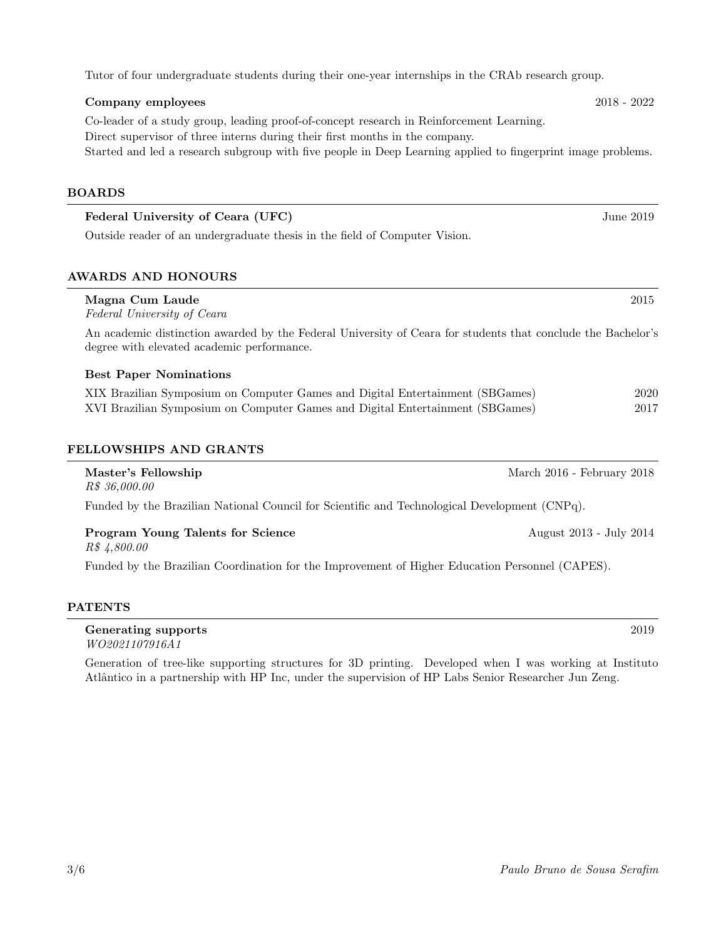Tutor of four undergraduate students during their one-year internships in the CRAb research group.

# Company employees 2018 - 2022 Co-leader of a study group, leading proof-of-concept research in Reinforcement Learning. Direct supervisor of three interns during their first months in the company. Started and led a research subgroup with five people in Deep Learning applied to fingerprint image problems.

#### BOARDS

| Federal University of Ceara (UFC)                                          | June 2019 |
|----------------------------------------------------------------------------|-----------|
| Outside reader of an undergraduate thesis in the field of Computer Vision. |           |

### AWARDS AND HONOURS

| Magna Cum Laude<br>Federal University of Ceara                                                                                                             | 2015                       |
|------------------------------------------------------------------------------------------------------------------------------------------------------------|----------------------------|
| An academic distinction awarded by the Federal University of Ceara for students that conclude the Bachelor's<br>degree with elevated academic performance. |                            |
| <b>Best Paper Nominations</b>                                                                                                                              |                            |
| XIX Brazilian Symposium on Computer Games and Digital Entertainment (SBGames)                                                                              | 2020                       |
| XVI Brazilian Symposium on Computer Games and Digital Entertainment (SBGames)                                                                              | 2017                       |
| <b>FELLOWSHIPS AND GRANTS</b>                                                                                                                              |                            |
| Master's Fellowship<br>R\$ 36,000.00                                                                                                                       | March 2016 - February 2018 |
| Funded by the Brazilian National Council for Scientific and Technological Development (CNPq).                                                              |                            |
| <b>Program Young Talents for Science</b><br>R\$ 4,800.00                                                                                                   | August 2013 - July 2014    |
| Funded by the Brazilian Coordination for the Improvement of Higher Education Personnel (CAPES).                                                            |                            |
| <b>PATENTS</b>                                                                                                                                             |                            |

### Generating supports 2019 WO2021107916A1

Generation of tree-like supporting structures for 3D printing. Developed when I was working at Instituto Atlântico in a partnership with HP Inc, under the supervision of HP Labs Senior Researcher Jun Zeng.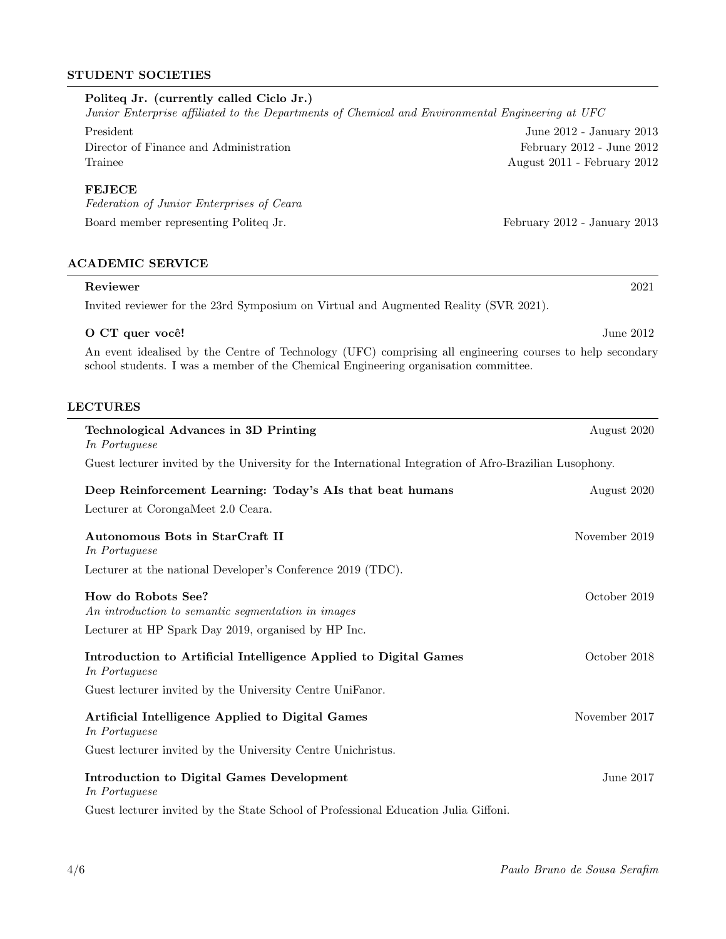#### STUDENT SOCIETIES

## Politeq Jr. (currently called Ciclo Jr.)

Junior Enterprise affiliated to the Departments of Chemical and Environmental Engineering at UFC

President June 2012 - January 2013

Director of Finance and Administration February 2012 - June 2012 Trainee August 2011 - February 2012

#### FEJECE

Federation of Junior Enterprises of Ceara Board member representing Politeq Jr. February 2012 - January 2013

#### ACADEMIC SERVICE

### Reviewer 2021 Invited reviewer for the 23rd Symposium on Virtual and Augmented Reality (SVR 2021).

#### O CT quer você! June 2012

An event idealised by the Centre of Technology (UFC) comprising all engineering courses to help secondary school students. I was a member of the Chemical Engineering organisation committee.

#### LECTURES

| <b>Technological Advances in 3D Printing</b><br>In Portuguese                                           | August 2020   |
|---------------------------------------------------------------------------------------------------------|---------------|
| Guest lecturer invited by the University for the International Integration of Afro-Brazilian Lusophony. |               |
| Deep Reinforcement Learning: Today's AIs that beat humans                                               | August 2020   |
| Lecturer at CorongaMeet 2.0 Ceara.                                                                      |               |
| Autonomous Bots in StarCraft II<br>In Portuguese                                                        | November 2019 |
| Lecturer at the national Developer's Conference 2019 (TDC).                                             |               |
| How do Robots See?<br>An introduction to semantic segmentation in images                                | October 2019  |
| Lecturer at HP Spark Day 2019, organised by HP Inc.                                                     |               |
| Introduction to Artificial Intelligence Applied to Digital Games<br>In Portuguese                       | October 2018  |
| Guest lecturer invited by the University Centre UniFanor.                                               |               |
| Artificial Intelligence Applied to Digital Games<br>In Portuguese                                       | November 2017 |
| Guest lecturer invited by the University Centre Unichristus.                                            |               |
| <b>Introduction to Digital Games Development</b><br>In Portuguese                                       | June $2017$   |
| Guest lecturer invited by the State School of Professional Education Julia Giffoni.                     |               |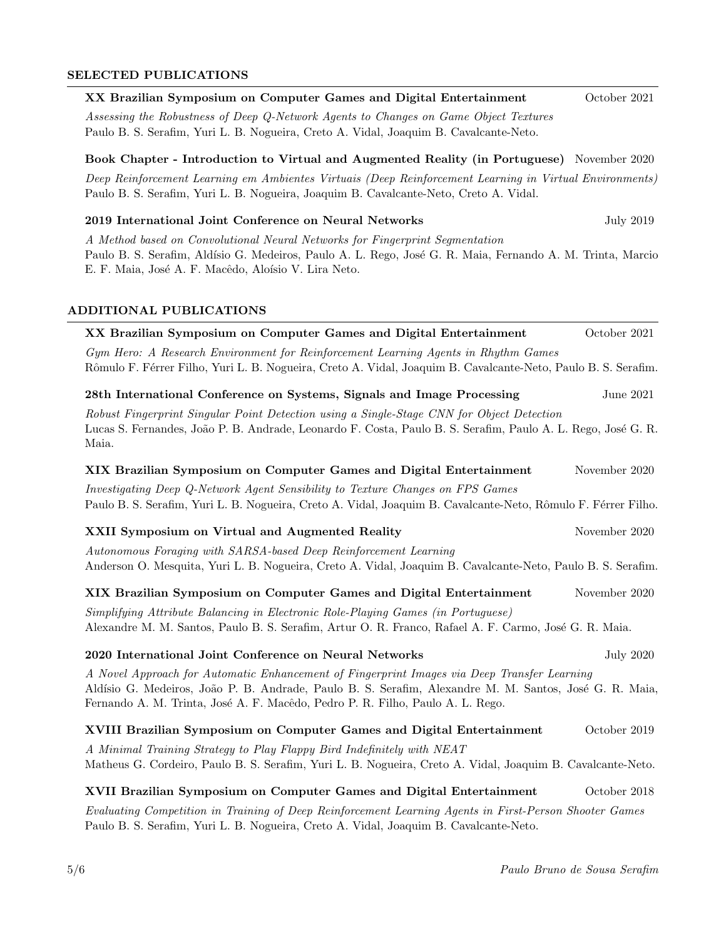# SELECTED PUBLICATIONS

| XX Brazilian Symposium on Computer Games and Digital Entertainment                                                                                                                                                                                                                      | October 2021     |
|-----------------------------------------------------------------------------------------------------------------------------------------------------------------------------------------------------------------------------------------------------------------------------------------|------------------|
| Assessing the Robustness of Deep Q-Network Agents to Changes on Game Object Textures<br>Paulo B. S. Serafim, Yuri L. B. Nogueira, Creto A. Vidal, Joaquim B. Cavalcante-Neto.                                                                                                           |                  |
| Book Chapter - Introduction to Virtual and Augmented Reality (in Portuguese) November 2020                                                                                                                                                                                              |                  |
| Deep Reinforcement Learning em Ambientes Virtuais (Deep Reinforcement Learning in Virtual Environments)<br>Paulo B. S. Serafim, Yuri L. B. Nogueira, Joaquim B. Cavalcante-Neto, Creto A. Vidal.                                                                                        |                  |
| 2019 International Joint Conference on Neural Networks                                                                                                                                                                                                                                  | <b>July 2019</b> |
| A Method based on Convolutional Neural Networks for Fingerprint Segmentation<br>Paulo B. S. Serafim, Aldísio G. Medeiros, Paulo A. L. Rego, José G. R. Maia, Fernando A. M. Trinta, Marcio<br>E. F. Maia, José A. F. Macêdo, Aloísio V. Lira Neto.                                      |                  |
| ADDITIONAL PUBLICATIONS                                                                                                                                                                                                                                                                 |                  |
| XX Brazilian Symposium on Computer Games and Digital Entertainment                                                                                                                                                                                                                      | October 2021     |
| Gym Hero: A Research Environment for Reinforcement Learning Agents in Rhythm Games<br>Rômulo F. Férrer Filho, Yuri L. B. Nogueira, Creto A. Vidal, Joaquim B. Cavalcante-Neto, Paulo B. S. Serafim.                                                                                     |                  |
| 28th International Conference on Systems, Signals and Image Processing                                                                                                                                                                                                                  | June 2021        |
| Robust Fingerprint Singular Point Detection using a Single-Stage CNN for Object Detection<br>Lucas S. Fernandes, João P. B. Andrade, Leonardo F. Costa, Paulo B. S. Serafim, Paulo A. L. Rego, José G. R.<br>Maia.                                                                      |                  |
| XIX Brazilian Symposium on Computer Games and Digital Entertainment                                                                                                                                                                                                                     | November 2020    |
| Investigating Deep Q-Network Agent Sensibility to Texture Changes on FPS Games<br>Paulo B. S. Serafim, Yuri L. B. Nogueira, Creto A. Vidal, Joaquim B. Cavalcante-Neto, Rômulo F. Férrer Filho.                                                                                         |                  |
| <b>XXII Symposium on Virtual and Augmented Reality</b>                                                                                                                                                                                                                                  | November 2020    |
| Autonomous Foraging with SARSA-based Deep Reinforcement Learning<br>Anderson O. Mesquita, Yuri L. B. Nogueira, Creto A. Vidal, Joaquim B. Cavalcante-Neto, Paulo B. S. Serafim.                                                                                                         |                  |
| XIX Brazilian Symposium on Computer Games and Digital Entertainment                                                                                                                                                                                                                     | November 2020    |
| Simplifying Attribute Balancing in Electronic Role-Playing Games (in Portuguese)<br>Alexandre M. M. Santos, Paulo B. S. Serafim, Artur O. R. Franco, Rafael A. F. Carmo, José G. R. Maia.                                                                                               |                  |
| 2020 International Joint Conference on Neural Networks                                                                                                                                                                                                                                  | July 2020        |
| A Novel Approach for Automatic Enhancement of Fingerprint Images via Deep Transfer Learning<br>Aldísio G. Medeiros, João P. B. Andrade, Paulo B. S. Serafim, Alexandre M. M. Santos, José G. R. Maia,<br>Fernando A. M. Trinta, José A. F. Macêdo, Pedro P. R. Filho, Paulo A. L. Rego. |                  |
| XVIII Brazilian Symposium on Computer Games and Digital Entertainment                                                                                                                                                                                                                   | October 2019     |
| A Minimal Training Strategy to Play Flappy Bird Indefinitely with NEAT<br>Matheus G. Cordeiro, Paulo B. S. Serafim, Yuri L. B. Nogueira, Creto A. Vidal, Joaquim B. Cavalcante-Neto.                                                                                                    |                  |
| XVII Brazilian Symposium on Computer Games and Digital Entertainment                                                                                                                                                                                                                    | October 2018     |
| Evaluating Competition in Training of Deep Reinforcement Learning Agents in First-Person Shooter Games<br>Paulo B. S. Serafim, Yuri L. B. Nogueira, Creto A. Vidal, Joaquim B. Cavalcante-Neto.                                                                                         |                  |